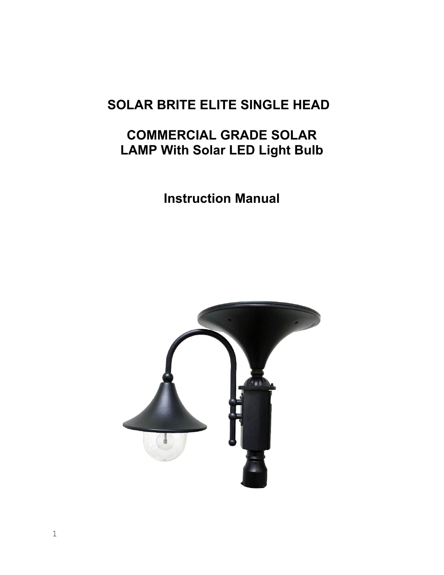# **SOLAR BRITE ELITE SINGLE HEAD**

# **COMMERCIAL GRADE SOLAR LAMP With Solar LED Light Bulb**

**Instruction Manual** 

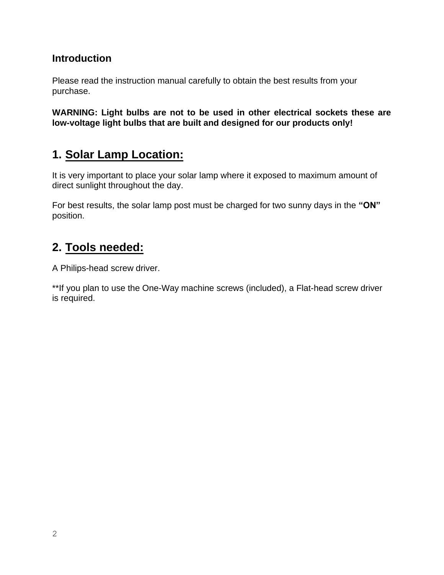#### **Introduction**

Please read the instruction manual carefully to obtain the best results from your purchase.

**WARNING: Light bulbs are not to be used in other electrical sockets these are low-voltage light bulbs that are built and designed for our products only!** 

### **1. Solar Lamp Location:**

It is very important to place your solar lamp where it exposed to maximum amount of direct sunlight throughout the day.

For best results, the solar lamp post must be charged for two sunny days in the **"ON"** position.

### **2. Tools needed:**

A Philips-head screw driver.

\*\*If you plan to use the One-Way machine screws (included), a Flat-head screw driver is required.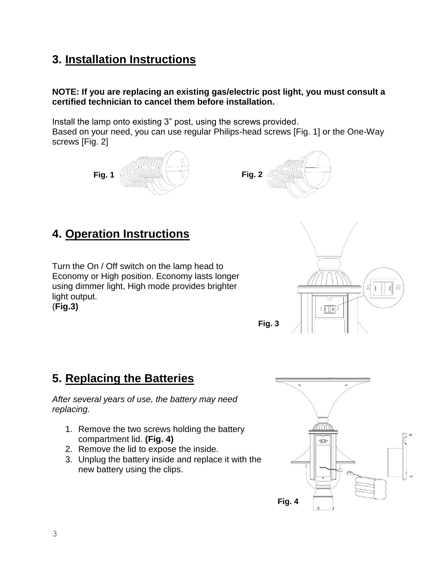## **3. Installation Instructions**

#### **NOTE: If you are replacing an existing gas/electric post light, you must consult a certified technician to cancel them before installation.**

Install the lamp onto existing 3" post, using the screws provided.

Based on your need, you can use regular Philips-head screws [Fig. 1] or the One-Way screws [Fig. 2]





## **4. Operation Instructions**

Turn the On / Off switch on the lamp head to Economy or High position. Economy lasts longer using dimmer light, High mode provides brighter light output. (**Fig.3)** 



## **5. Replacing the Batteries**

*After several years of use, the battery may need replacing.*

- 1. Remove the two screws holding the battery compartment lid. **(Fig. 4)**
- 2. Remove the lid to expose the inside.
- 3. Unplug the battery inside and replace it with the new battery using the clips.